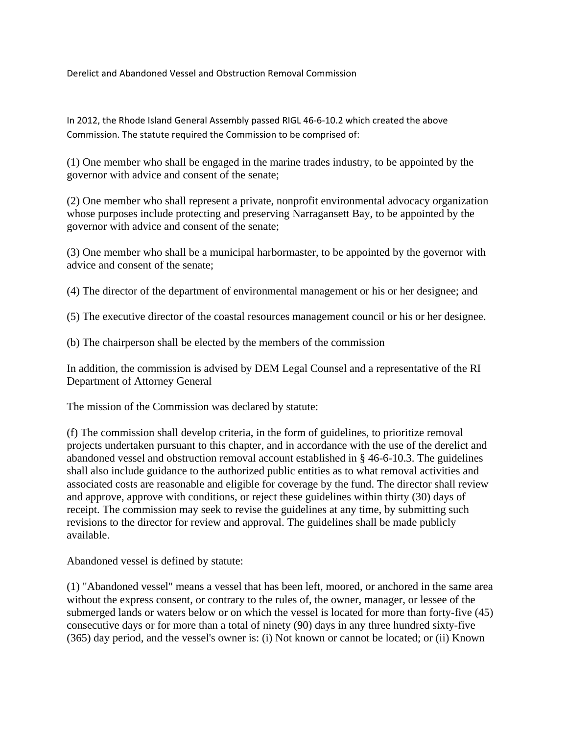Derelict and Abandoned Vessel and Obstruction Removal Commission

In 2012, the Rhode Island General Assembly passed RIGL 46‐6‐10.2 which created the above Commission. The statute required the Commission to be comprised of:

(1) One member who shall be engaged in the marine trades industry, to be appointed by the governor with advice and consent of the senate;

(2) One member who shall represent a private, nonprofit environmental advocacy organization whose purposes include protecting and preserving Narragansett Bay, to be appointed by the governor with advice and consent of the senate;

(3) One member who shall be a municipal harbormaster, to be appointed by the governor with advice and consent of the senate;

(4) The director of the department of environmental management or his or her designee; and

(5) The executive director of the coastal resources management council or his or her designee.

(b) The chairperson shall be elected by the members of the commission

In addition, the commission is advised by DEM Legal Counsel and a representative of the RI Department of Attorney General

The mission of the Commission was declared by statute:

(f) The commission shall develop criteria, in the form of guidelines, to prioritize removal projects undertaken pursuant to this chapter, and in accordance with the use of the derelict and abandoned vessel and obstruction removal account established in § 46-6-10.3. The guidelines shall also include guidance to the authorized public entities as to what removal activities and associated costs are reasonable and eligible for coverage by the fund. The director shall review and approve, approve with conditions, or reject these guidelines within thirty (30) days of receipt. The commission may seek to revise the guidelines at any time, by submitting such revisions to the director for review and approval. The guidelines shall be made publicly available.

Abandoned vessel is defined by statute:

(1) "Abandoned vessel" means a vessel that has been left, moored, or anchored in the same area without the express consent, or contrary to the rules of, the owner, manager, or lessee of the submerged lands or waters below or on which the vessel is located for more than forty-five (45) consecutive days or for more than a total of ninety (90) days in any three hundred sixty-five (365) day period, and the vessel's owner is: (i) Not known or cannot be located; or (ii) Known